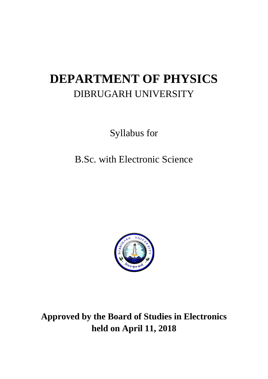# **DEPARTMENT OF PHYSICS** DIBRUGARH UNIVERSITY

Syllabus for

B.Sc. with Electronic Science



**Approved by the Board of Studies in Electronics held on April 11, 2018**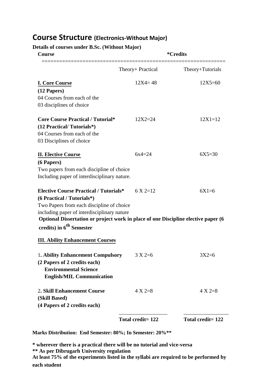## **Course Structure (Electronics-Without Major)**

**Details of courses under B.Sc. (Without Major)**

| <b>Course</b>                                                                                                                     | <i>*</i> Credits    |                   |  |
|-----------------------------------------------------------------------------------------------------------------------------------|---------------------|-------------------|--|
|                                                                                                                                   | Theory+ Practical   | Theory+Tutorials  |  |
| <b>I. Core Course</b>                                                                                                             | $12X4 = 48$         | $12X5 = 60$       |  |
| $(12$ Papers)                                                                                                                     |                     |                   |  |
| 04 Courses from each of the                                                                                                       |                     |                   |  |
| 03 disciplines of choice                                                                                                          |                     |                   |  |
| <b>Core Course Practical / Tutorial*</b>                                                                                          | $12X2 = 24$         | $12X1 = 12$       |  |
| (12 Practical/Tutorials*)                                                                                                         |                     |                   |  |
| 04 Courses from each of the                                                                                                       |                     |                   |  |
| 03 Disciplines of choice                                                                                                          |                     |                   |  |
| <b>II. Elective Course</b>                                                                                                        | $6x4 = 24$          | $6X5=30$          |  |
| (6 Papers)                                                                                                                        |                     |                   |  |
| Two papers from each discipline of choice                                                                                         |                     |                   |  |
| Including paper of interdisciplinary nature.                                                                                      |                     |                   |  |
| <b>Elective Course Practical / Tutorials*</b>                                                                                     | $6 \text{ X } 2=12$ | $6X1=6$           |  |
| (6 Practical / Tutorials*)                                                                                                        |                     |                   |  |
| Two Papers from each discipline of choice                                                                                         |                     |                   |  |
| including paper of interdisciplinary nature<br>Optional Dissertation or project work in place of one Discipline elective paper (6 |                     |                   |  |
| credits) in 6 <sup>th</sup> Semester                                                                                              |                     |                   |  |
| <b>III. Ability Enhancement Courses</b>                                                                                           |                     |                   |  |
| 1. Ability Enhancement Compulsory                                                                                                 | $3 X 2=6$           | $3X2=6$           |  |
| (2 Papers of 2 credits each)                                                                                                      |                     |                   |  |
| <b>Environmental Science</b>                                                                                                      |                     |                   |  |
| <b>English/MIL Communication</b>                                                                                                  |                     |                   |  |
| 2. Skill Enhancement Course<br>(Skill Based)                                                                                      | $4 X 2=8$           | $4 X 2=8$         |  |
| (4 Papers of 2 credits each)                                                                                                      |                     |                   |  |
|                                                                                                                                   | Total credit= 122   | Total credit= 122 |  |

**Marks Distribution: End Semester: 80%; In Semester: 20%\*\***

**\* wherever there is a practical there will be no tutorial and vice-versa**

**\*\* As per Dibrugarh University regulation**

**At least 75% of the experiments listed in the syllabi are required to be performed by each student**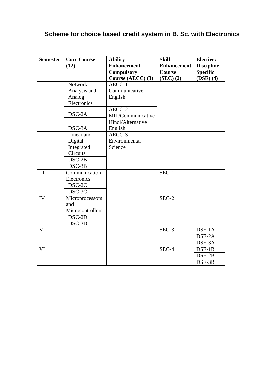## **Scheme for choice based credit system in B. Sc. with Electronics**

| <b>Semester</b> | <b>Core Course</b><br>(12)                                              | <b>Ability</b><br><b>Enhancement</b>                              | <b>Skill</b><br><b>Enhancement</b> | <b>Elective:</b><br><b>Discipline</b> |
|-----------------|-------------------------------------------------------------------------|-------------------------------------------------------------------|------------------------------------|---------------------------------------|
|                 |                                                                         | <b>Compulsory</b><br>Course (AECC) (3)                            | Course<br>(SEC) (2)                | <b>Specific</b><br>$(DSE)$ (4)        |
| I               | <b>Network</b><br>Analysis and<br>Analog<br>Electronics<br>DSC-2A       | AECC-1<br>Communicative<br>English<br>AECC-2<br>MIL/Communicative |                                    |                                       |
|                 | DSC-3A                                                                  | Hindi/Alternative<br>English                                      |                                    |                                       |
| $\mathbf{I}$    | Linear and<br>Digital<br>Integrated<br>Circuits<br>$DSC-2B$<br>$DSC-3B$ | AECC-3<br>Environmental<br>Science                                |                                    |                                       |
| III             | Communication<br>Electronics<br>DSC-2C<br>DSC-3C                        |                                                                   | SEC-1                              |                                       |
| IV              | Microprocessors<br>and<br>Microcontrollers<br>DSC-2D<br>DSC-3D          |                                                                   | SEC-2                              |                                       |
| V               |                                                                         |                                                                   | SEC-3                              | DSE-1A<br>DSE-2A<br>DSE-3A            |
| VI              |                                                                         |                                                                   | $SEC-4$                            | $DSE-1B$<br>$DSE-2B$<br>DSE-3B        |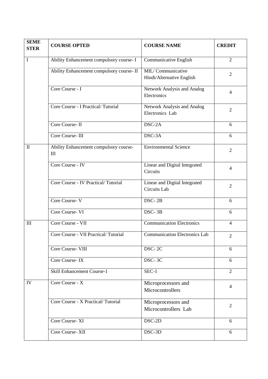| <b>SEME</b><br><b>STER</b> | <b>COURSE OPTED</b>                           | <b>COURSE NAME</b>                             | <b>CREDIT</b>  |
|----------------------------|-----------------------------------------------|------------------------------------------------|----------------|
| $\mathbf I$                | Ability Enhancement compulsory course- I      | Communicative English                          | $\overline{2}$ |
|                            | Ability Enhancement compulsory course- II     | MIL/Communicative<br>Hindi/Alternative English | 2              |
|                            | Core Course - I                               | Network Analysis and Analog<br>Electronics     | $\overline{4}$ |
|                            | Core Course - I Practical/Tutorial            | Network Analysis and Analog<br>Electronics Lab | $\overline{2}$ |
|                            | Core Course-II                                | DSC-2A                                         | 6              |
|                            | Core Course-III                               | DSC-3A                                         | 6              |
| $\mathbf{I}$               | Ability Enhancement compulsory course-<br>III | <b>Environmental Science</b>                   | $\overline{2}$ |
|                            | Core Course - IV                              | Linear and Digital Integrated<br>Circuits      | $\overline{4}$ |
|                            | Core Course - IV Practical/Tutorial           | Linear and Digital Integrated<br>Circuits Lab  | $\overline{2}$ |
|                            | Core Course-V                                 | DSC-2B                                         | 6              |
|                            | Core Course-VI                                | DSC-3B                                         | 6              |
| $\mathop{\rm III}$         | Core Course - VII                             | <b>Communication Electronics</b>               | $\overline{4}$ |
|                            | Core Course - VII Practical/Tutorial          | <b>Communication Electronics Lab</b>           | $\overline{2}$ |
|                            | Core Course- VIII                             | DSC-2C                                         | 6              |
|                            | Core Course-IX                                | $DSC-3C$                                       | 6              |
|                            | <b>Skill Enhancement Course-1</b>             | SEC-1                                          | $\overline{2}$ |
| IV                         | Core Course - X                               | Microprocessors and<br>Microcontrollers        | 4              |
|                            | Core Course - X Practical/Tutorial            | Microprocessors and<br>Microcontrollers Lab    | $\overline{2}$ |
|                            | Core Course-XI                                | DSC-2D                                         | 6              |
|                            | Core Course-XII                               | DSC-3D                                         | 6              |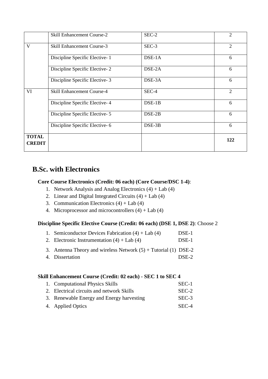|                               | <b>Skill Enhancement Course-2</b> | SEC-2    | $\overline{2}$ |
|-------------------------------|-----------------------------------|----------|----------------|
| V                             | Skill Enhancement Course-3        | $SEC-3$  | $\overline{2}$ |
|                               | Discipline Specific Elective-1    | $DSE-1A$ | 6              |
|                               | Discipline Specific Elective-2    | DSE-2A   | 6              |
|                               | Discipline Specific Elective-3    | DSE-3A   | 6              |
| VI                            | <b>Skill Enhancement Course-4</b> | SEC-4    | 2              |
|                               | Discipline Specific Elective-4    | $DSE-1B$ | 6              |
|                               | Discipline Specific Elective-5    | DSE-2B   | 6              |
|                               | Discipline Specific Elective-6    | DSE-3B   | 6              |
| <b>TOTAL</b><br><b>CREDIT</b> |                                   |          | 122            |

## **B.Sc. with Electronics**

### **Core Course Electronics (Credit: 06 each) (Core Course/DSC 1-4)**:

- 1. Network Analysis and Analog Electronics (4) + Lab (4)
- 2. Linear and Digital Integrated Circuits  $(4) +$  Lab  $(4)$
- 3. Communication Electronics  $(4) +$  Lab  $(4)$
- 4. Microprocessor and microcontrollers  $(4) +$  Lab  $(4)$

### **Discipline Specific Elective Course (Credit: 06 each) (DSE 1, DSE 2)**: Choose 2

| 1. Semiconductor Devices Fabrication $(4) +$ Lab $(4)$              | DSE-1 |
|---------------------------------------------------------------------|-------|
| 2. Electronic Instrumentation $(4) +$ Lab $(4)$                     | DSE-1 |
| 3. Antenna Theory and wireless Network $(5)$ + Tutorial $(1)$ DSE-2 |       |
| 4. Dissertation                                                     | DSE-2 |

### **Skill Enhancement Course (Credit: 02 each) - SEC 1 to SEC 4**

| 1. Computational Physics Skills           | SEC-1   |
|-------------------------------------------|---------|
| 2. Electrical circuits and network Skills | $SEC-2$ |
| 3. Renewable Energy and Energy harvesting | SEC-3   |
| 4. Applied Optics                         | SEC-4   |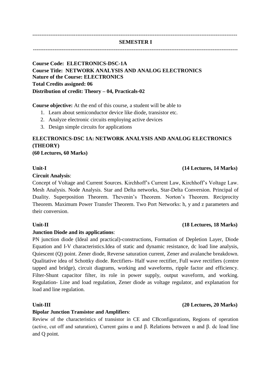### ------------------------------------------------------------------------------------------------------------------ **SEMESTER I** ------------------------------------------------------------------------------------------------------------------

## **Course Code: ELECTRONICS-DSC-1A Course Title: NETWORK ANALYSIS AND ANALOG ELECTRONICS Nature of the Course: ELECTRONICS Total Credits assigned: 06**

**Distribution of credit: Theory – 04, Practicals-02**

**Course objective:** At the end of this course, a student will be able to

- 1. Learn about semiconductor device like diode, transistor etc.
- 2. Analyze electronic circuits employing active devices
- 3. Design simple circuits for applications

## **ELECTRONICS-DSC 1A: NETWORK ANALYSIS AND ANALOG ELECTRONICS (THEORY)**

**(60 Lectures, 60 Marks)**

### **Circuit Analysis**:

Concept of Voltage and Current Sources. Kirchhoff's Current Law, Kirchhoff's Voltage Law. Mesh Analysis. Node Analysis. Star and Delta networks, Star-Delta Conversion. Principal of Duality. Superposition Theorem. Thevenin's Theorem. Norton's Theorem. Reciprocity Theorem. Maximum Power Transfer Theorem. Two Port Networks: h, y and z parameters and their conversion.

### **Junction Diode and its applications**:

PN junction diode (Ideal and practical)-constructions, Formation of Depletion Layer, Diode Equation and I-V characteristics.Idea of static and dynamic resistance, dc load line analysis, Quiescent (Q) point. Zener diode, Reverse saturation current, Zener and avalanche breakdown. Qualitative idea of Schottky diode. Rectifiers- Half wave rectifier, Full wave rectifiers (centre tapped and bridge), circuit diagrams, working and waveforms, ripple factor and efficiency. Filter-Shunt capacitor filter, its role in power supply, output waveform, and working. Regulation- Line and load regulation, Zener diode as voltage regulator, and explanation for load and line regulation.

### **Bipolar Junction Transistor and Amplifiers**:

Review of the characteristics of transistor in CE and CBconfigurations, Regions of operation (active, cut off and saturation), Current gains α and β. Relations between α and β. dc load line and Q point.

## **Unit-II (18 Lectures, 18 Marks)**

### **Unit-III (20 Lectures, 20 Marks)**

### **Unit-I (14 Lectures, 14 Marks)**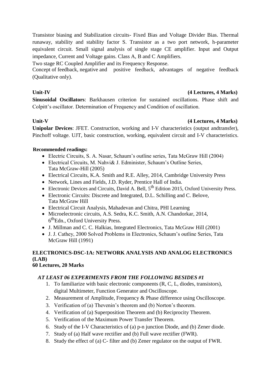Transistor biasing and Stabilization circuits- Fixed Bias and Voltage Divider Bias. Thermal runaway, stability and stability factor S. Transistor as a two port network, h-parameter equivalent circuit. Small signal analysis of single stage CE amplifier. Input and Output impedance, Current and Voltage gains. Class A, B and C Amplifiers.

Two stage RC Coupled Amplifier and its Frequency Response.

Concept of feedback, negative and positive feedback, advantages of negative feedback (Qualitative only).

### **Unit-IV (4 Lectures, 4 Marks)**

**Sinusoidal Oscillators**: Barkhausen criterion for sustained oscillations. Phase shift and Colpitt's oscillator. Determination of Frequency and Condition of oscillation.

### Unit-V (4 Lectures, 4 Marks)

**Unipolar Devices**: JFET. Construction, working and I-V characteristics (output andtransfer), Pinchoff voltage. UJT, basic construction, working, equivalent circuit and I-V characteristics.

### **Recommended readings:**

- Electric Circuits, S. A. Nasar, Schaum's outline series, Tata McGraw Hill (2004)
- Electrical Circuits, M. Nahvi& J. Edminister, Schaum's Outline Series, Tata McGraw-Hill (2005)
- Electrical Circuits, K.A. Smith and R.E. Alley, 2014, Cambridge University Press
- Network, Lines and Fields, J.D. Ryder, Prentice Hall of India.
- Electronic Devices and Circuits, David A. Bell,  $5^{th}$  Edition 2015, Oxford University Press.
- Electronic Circuits: Discrete and Integrated, D.L. Schilling and C. Belove, Tata McGraw Hill
- Electrical Circuit Analysis, Mahadevan and Chitra, PHI Learning
- Microelectronic circuits, A.S. Sedra, K.C. Smith, A.N. Chandorkar, 2014, 6<sup>th</sup>Edn., Oxford University Press.
- J. Millman and C. C. Halkias, Integrated Electronics, Tata McGraw Hill (2001)
- J. J. Cathey, 2000 Solved Problems in Electronics, Schaum's outline Series, Tata McGraw Hill (1991)

### **ELECTRONICS-DSC-1A: NETWORK ANALYSIS AND ANALOG ELECTRONICS (LAB) 60 Lectures, 20 Marks**

### *AT LEAST 06 EXPERIMENTS FROM THE FOLLOWING BESIDES #1*

- 1. To familiarize with basic electronic components (R, C, L, diodes, transistors), digital Multimeter, Function Generator and Oscilloscope.
- 2. Measurement of Amplitude, Frequency & Phase difference using Oscilloscope.
- 3. Verification of (a) Thevenin's theorem and (b) Norton's theorem.
- 4. Verification of (a) Superposition Theorem and (b) Reciprocity Theorem.
- 5. Verification of the Maximum Power Transfer Theorem.
- 6. Study of the I-V Characteristics of (a) p-n junction Diode, and (b) Zener diode.
- 7. Study of (a) Half wave rectifier and (b) Full wave rectifier (FWR).
- 8. Study the effect of (a) C- filter and (b) Zener regulator on the output of FWR.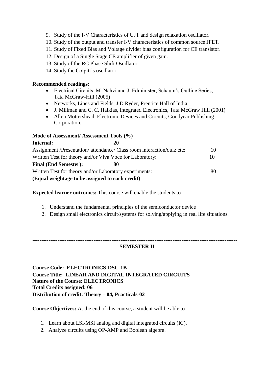- 9. Study of the I-V Characteristics of UJT and design relaxation oscillator.
- 10. Study of the output and transfer I-V characteristics of common source JFET.
- 11. Study of Fixed Bias and Voltage divider bias configuration for CE transistor.
- 12. Design of a Single Stage CE amplifier of given gain.
- 13. Study of the RC Phase Shift Oscillator.
- 14. Study the Colpitt's oscillator.

### **Recommended readings:**

- Electrical Circuits, M. Nahvi and J. Edminister, Schaum's Outline Series, Tata McGraw-Hill (2005)
- Networks, Lines and Fields, J.D.Ryder, Prentice Hall of India.
- J. Millman and C. C. Halkias, Integrated Electronics, Tata McGraw Hill (2001)
- Allen Mottershead, Electronic Devices and Circuits, Goodyear Publishing Corporation.

### **Mode of Assessment/ Assessment Tools (%)**

| Internal:<br>20                                                        |    |
|------------------------------------------------------------------------|----|
| Assignment /Presentation/ attendance/ Class room interaction/quiz etc: | 10 |
| Written Test for theory and/or Viva Voce for Laboratory:               | 10 |
| <b>Final (End Semester):</b><br>80                                     |    |
| Written Test for theory and/or Laboratory experiments:                 |    |
| (Equal weightage to be assigned to each credit)                        |    |

**Expected learner outcomes:** This course will enable the students to

- 1. Understand the fundamental principles of the semiconductor device
- 2. Design small electronics circuit/systems for solving/applying in real life situations.

------------------------------------------------------------------------------------------------------------------

### **SEMESTER II**

------------------------------------------------------------------------------------------------------------------

**Course Code: ELECTRONICS-DSC-1B Course Title: LINEAR AND DIGITAL INTEGRATED CIRCUITS Nature of the Course: ELECTRONICS Total Credits assigned: 06 Distribution of credit: Theory – 04, Practicals-02**

**Course Objectives:** At the end of this course, a student will be able to

- 1. Learn about LSI/MSI analog and digital integrated circuits (IC).
- 2. Analyze circuits using OP-AMP and Boolean algebra.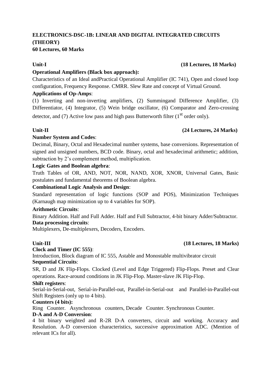### **ELECTRONICS-DSC-1B: LINEAR AND DIGITAL INTEGRATED CIRCUITS (THEORY) 60 Lectures, 60 Marks**

### **Operational Amplifiers (Black box approach):**

Characteristics of an Ideal andPractical Operational Amplifier (IC 741), Open and closed loop configuration, Frequency Response. CMRR. Slew Rate and concept of Virtual Ground.

### **Applications of Op-Amps**:

(1) Inverting and non-inverting amplifiers, (2) Summingand Difference Amplifier, (3) Differentiator, (4) Integrator, (5) Wein bridge oscillator, (6) Comparator and Zero-crossing detector, and (7) Active low pass and high pass Butterworth filter ( $1<sup>st</sup>$  order only).

### **Unit-II (24 Lectures, 24 Marks)**

### **Number System and Codes**:

Decimal, Binary, Octal and Hexadecimal number systems, base conversions. Representation of signed and unsigned numbers, BCD code. Binary, octal and hexadecimal arithmetic; addition, subtraction by 2's complement method, multiplication.

### **Logic Gates and Boolean algebra**:

Truth Tables of OR, AND, NOT, NOR, NAND, XOR, XNOR, Universal Gates, Basic postulates and fundamental theorems of Boolean algebra.

### **Combinational Logic Analysis and Design**:

Standard representation of logic functions (SOP and POS), Minimization Techniques (Karnaugh map minimization up to 4 variables for SOP).

### **Arithmetic Circuits**:

Binary Addition. Half and Full Adder. Half and Full Subtractor, 4-bit binary Adder/Subtractor. **Data processing circuits**:

Multiplexers, De-multiplexers, Decoders, Encoders.

### **Unit-III (18 Lectures, 18 Marks)**

### **Clock and Timer (IC 555)**:

Introduction, Block diagram of IC 555, Astable and Monostable multivibrator circuit **Sequential Circuits**:

SR, D and JK Flip-Flops. Clocked (Level and Edge Triggered) Flip-Flops. Preset and Clear operations. Race-around conditions in JK Flip-Flop. Master-slave JK Flip-Flop.

### **Shift registers**:

Serial-in-Serial-out, Serial-in-Parallel-out, Parallel-in-Serial-out and Parallel-in-Parallel-out Shift Registers (only up to 4 bits).

### **Counters (4 bits):**

Ring Counter. Asynchronous counters, Decade Counter. Synchronous Counter.

### **D-A and A-D Conversion**:

4 bit binary weighted and R-2R D-A converters, circuit and working. Accuracy and Resolution. A-D conversion characteristics, successive approximation ADC. (Mention of relevant ICs for all).

### **Unit-I (18 Lectures, 18 Marks)**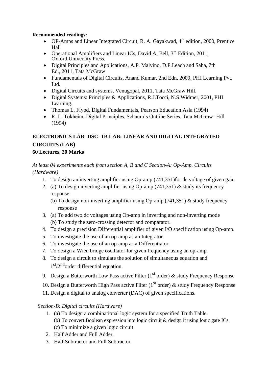### **Recommended readings:**

- OP-Amps and Linear Integrated Circuit, R. A. Gayakwad, 4<sup>th</sup> edition, 2000, Prentice Hall
- Operational Amplifiers and Linear ICs, David A, Bell,  $3<sup>rd</sup>$  Edition, 2011, Oxford University Press.
- Digital Principles and Applications, A.P. Malvino, D.P.Leach and Saha, 7th Ed., 2011, Tata McGraw
- Fundamentals of Digital Circuits, Anand Kumar, 2nd Edn, 2009, PHI Learning Pvt. Ltd.
- Digital Circuits and systems, Venugopal, 2011, Tata McGraw Hill.
- Digital Systems: Principles & Applications, R.J.Tocci, N.S.Widmer, 2001, PHI Learning.
- Thomas L. Flyod, Digital Fundamentals, Pearson Education Asia (1994)
- R. L. Tokheim, Digital Principles, Schaum's Outline Series, Tata McGraw- Hill (1994)

## **ELECTRONICS LAB- DSC- 1B LAB: LINEAR AND DIGITAL INTEGRATED CIRCUITS (LAB)**

### **60 Lectures, 20 Marks**

*At least 04 experiments each from section A, B and C Section-A: Op-Amp. Circuits (Hardware)*

- 1. To design an inverting amplifier using Op-amp (741,351)for dc voltage of given gain
- 2. (a) To design inverting amplifier using Op-amp (741,351) & study its frequency response
	- (b) To design non-inverting amplifier using Op-amp (741,351) & study frequency response
- 3. (a) To add two dc voltages using Op-amp in inverting and non-inverting mode (b) To study the zero-crossing detector and comparator.
- 4. To design a precision Differential amplifier of given I/O specification using Op-amp.
- 5. To investigate the use of an op-amp as an Integrator.
- 6. To investigate the use of an op-amp as a Differentiator.
- 7. To design a Wien bridge oscillator for given frequency using an op-amp.
- 8. To design a circuit to simulate the solution of simultaneous equation and 1<sup>st</sup>/2<sup>nd</sup> order differential equation.
- 9. Design a Butterworth Low Pass active Filter  $(1<sup>st</sup> \text{ order})$  & study Frequency Response
- 10. Design a Butterworth High Pass active Filter ( $1<sup>st</sup>$  order) & study Frequency Response
- 11. Design a digital to analog converter (DAC) of given specifications.

### *Section-B: Digital circuits (Hardware)*

- 1. (a) To design a combinational logic system for a specified Truth Table.
	- (b) To convert Boolean expression into logic circuit & design it using logic gate ICs. (c) To minimize a given logic circuit.
- 2. Half Adder and Full Adder.
- 3. Half Subtractor and Full Subtractor.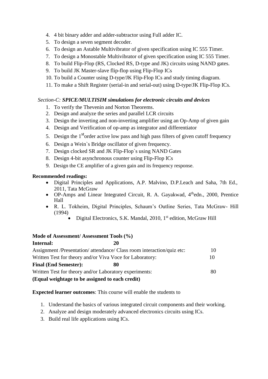- 4. 4 bit binary adder and adder-subtractor using Full adder IC.
- 5. To design a seven segment decoder.
- 6. To design an Astable Multivibrator of given specification using IC 555 Timer.
- 7. To design a Monostable Multivibrator of given specification using IC 555 Timer.
- 8. To build Flip-Flop (RS, Clocked RS, D-type and JK) circuits using NAND gates.
- 9. To build JK Master-slave flip-flop using Flip-Flop ICs
- 10. To build a Counter using D-type/JK Flip-Flop ICs and study timing diagram.
- 11. To make a Shift Register (serial-in and serial-out) using D-type/JK Flip-Flop ICs.

### *Section-C: SPICE/MULTISIM simulations for electronic circuits and devices*

- 1. To verify the Thevenin and Norton Theorems.
- 2. Design and analyze the series and parallel LCR circuits
- 3. Design the inverting and non-inverting amplifier using an Op-Amp of given gain
- 4. Design and Verification of op-amp as integrator and differentiator
- 5. Design the  $1<sup>st</sup>$  order active low pass and high pass filters of given cutoff frequency
- 6. Design a Wein`s Bridge oscillator of given frequency.
- 7. Design clocked SR and JK Flip-Flop`s using NAND Gates
- 8. Design 4-bit asynchronous counter using Flip-Flop ICs
- 9. Design the CE amplifier of a given gain and its frequency response.

### **Recommended readings:**

- Digital Principles and Applications, A.P. Malvino, D.P.Leach and Saha, 7th Ed., 2011, Tata McGraw
- OP-Amps and Linear Integrated Circuit, R. A. Gayakwad, 4<sup>th</sup>edn., 2000, Prentice Hall
- R. L. Tokheim, Digital Principles, Schaum's Outline Series, Tata McGraw- Hill (1994)
	- Digital Electronics, S.K. Mandal, 2010, 1<sup>st</sup> edition, McGraw Hill

### **Mode of Assessment/ Assessment Tools (%)**

| Internal:                                                | 20                                                                     |    |
|----------------------------------------------------------|------------------------------------------------------------------------|----|
|                                                          | Assignment /Presentation/ attendance/ Class room interaction/quiz etc: | 10 |
| Written Test for theory and/or Viva Voce for Laboratory: |                                                                        | 10 |
| <b>Final (End Semester):</b>                             | 80                                                                     |    |
| Written Test for theory and/or Laboratory experiments:   |                                                                        | 80 |
| (Equal weightage to be assigned to each credit)          |                                                                        |    |

**Expected learner outcomes**: This course will enable the students to

- 1. Understand the basics of various integrated circuit components and their working.
- 2. Analyze and design moderately advanced electronics circuits using ICs.
- 3. Build real life applications using ICs.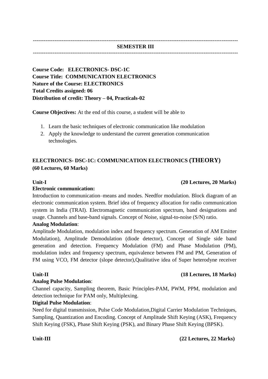### ------------------------------------------------------------------------------------------------------------------ **SEMESTER III**

------------------------------------------------------------------------------------------------------------------

**Course Code: ELECTRONICS- DSC-1C Course Title: COMMUNICATION ELECTRONICS Nature of the Course: ELECTRONICS Total Credits assigned: 06 Distribution of credit: Theory – 04, Practicals-02**

**Course Objectives:** At the end of this course, a student will be able to

- 1. Learn the basic techniques of electronic communication like modulation
- 2. Apply the knowledge to understand the current generation communication technologies.

## **ELECTRONICS- DSC-1C: COMMUNICATION ELECTRONICS (THEORY) (60 Lectures, 60 Marks)**

### **Unit-I (20 Lectures, 20 Marks)**

### **Electronic communication:**

Introduction to communication–means and modes. Needfor modulation. Block diagram of an electronic communication system. Brief idea of frequency allocation for radio communication system in India (TRAI). Electromagnetic communication spectrum, band designations and usage. Channels and base-band signals. Concept of Noise, signal-to-noise (S/N) ratio.

### **Analog Modulation**:

Amplitude Modulation, modulation index and frequency spectrum. Generation of AM Emitter Modulation), Amplitude Demodulation (diode detector), Concept of Single side band generation and detection. Frequency Modulation (FM) and Phase Modulation (PM), modulation index and frequency spectrum, equivalence between FM and PM, Generation of FM using VCO, FM detector (slope detector),Qualitative idea of Super heterodyne receiver

### **Analog Pulse Modulation**:

Channel capacity, Sampling theorem, Basic Principles-PAM, PWM, PPM, modulation and detection technique for PAM only, Multiplexing.

### **Digital Pulse Modulation**:

Need for digital transmission, Pulse Code Modulation,Digital Carrier Modulation Techniques, Sampling, Quantization and Encoding. Concept of Amplitude Shift Keying (ASK), Frequency Shift Keying (FSK), Phase Shift Keying (PSK), and Binary Phase Shift Keying (BPSK).

### **Unit-III (22 Lectures, 22 Marks)**

**Unit-II (18 Lectures, 18 Marks)**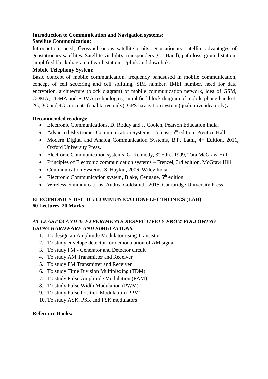### **Introduction to Communication and Navigation systems: Satellite Communication:**

Introduction, need, Geosynchronous satellite orbits, geostationary satellite advantages of geostationary satellites. Satellite visibility, transponders (C - Band), path loss, ground station, simplified block diagram of earth station. Uplink and downlink.

### **Mobile Telephony System:**

Basic concept of mobile communication, frequency bandsused in mobile communication, concept of cell sectoring and cell splitting, SIM number, IMEI number, need for data encryption, architecture (block diagram) of mobile communication network, idea of GSM, CDMA, TDMA and FDMA technologies, simplified block diagram of mobile phone handset, 2G, 3G and 4G concepts (qualitative only). GPS navigation system (qualitative idea only)**.**

### **Recommended readings:**

- Electronic Communications, D. Roddy and J. Coolen, Pearson Education India.
- Advanced Electronics Communication Systems- Tomasi, 6<sup>th</sup> edition, Prentice Hall.
- Modern Digital and Analog Communication Systems, B.P. Lathi, 4<sup>th</sup> Edition, 2011. Oxford University Press.
- Electronic Communication systems, G. Kennedy,  $3<sup>rd</sup>$ Edn., 1999, Tata McGraw Hill.
- Principles of Electronic communication systems Frenzel, 3rd edition, McGraw Hill
- Communication Systems, S. Haykin, 2006, Wiley India
- Electronic Communication system, Blake, Cengage,  $5<sup>th</sup>$  edition.
- Wireless communications, Andrea Goldsmith, 2015, Cambridge University Press

### **ELECTRONICS-DSC-1C: COMMUNICATIONELECTRONICS (LAB) 60 Lectures, 20 Marks**

## *AT LEAST 03 AND 05 EXPERIMENTS RESPECTIVELY FROM FOLLOWING USING HARDWARE AND SIMULATIONS.*

- 1. To design an Amplitude Modulator using Transistor
- 2. To study envelope detector for demodulation of AM signal
- 3. To study FM Generator and Detector circuit
- 4. To study AM Transmitter and Receiver
- 5. To study FM Transmitter and Receiver
- 6. To study Time Division Multiplexing (TDM)
- 7. To study Pulse Amplitude Modulation (PAM)
- 8. To study Pulse Width Modulation (PWM)
- 9. To study Pulse Position Modulation (PPM)
- 10. To study ASK, PSK and FSK modulators

### **Reference Books:**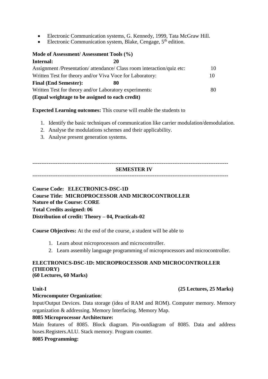- Electronic Communication systems, G. Kennedy, 1999, Tata McGraw Hill.
- Electronic Communication system, Blake, Cengage, 5<sup>th</sup> edition.

## **Mode of Assessment/ Assessment Tools (%)**

| Internal:                                                | 20                                                                     |    |
|----------------------------------------------------------|------------------------------------------------------------------------|----|
|                                                          | Assignment /Presentation/ attendance/ Class room interaction/quiz etc: | 10 |
| Written Test for theory and/or Viva Voce for Laboratory: |                                                                        |    |
| <b>Final (End Semester):</b>                             | 80                                                                     |    |
| Written Test for theory and/or Laboratory experiments:   |                                                                        | 80 |
| (Equal weightage to be assigned to each credit)          |                                                                        |    |

**Expected Learning outcomes:** This course will enable the students to

- 1. Identify the basic techniques of communication like carrier modulation/demodulation.
- 2. Analyse the modulations schemes and their applicability.
- 3. Analyse present generation systems.

------------------------------------------------------------------------------------------------------------- **SEMESTER IV** -------------------------------------------------------------------------------------------------------------

### **Course Code: ELECTRONICS-DSC-1D Course Title: MICROPROCESSOR AND MICROCONTROLLER Nature of the Course: CORE Total Credits assigned: 06 Distribution of credit: Theory – 04, Practicals-02**

**Course Objectives:** At the end of the course, a student will be able to

- 1. Learn about microprocessors and microcontroller.
- 2. Learn assembly language programming of microprocessors and microcontroller.

### **ELECTRONICS-DSC-1D: MICROPROCESSOR AND MICROCONTROLLER (THEORY) (60 Lectures, 60 Marks)**

### **Unit-I (25 Lectures, 25 Marks)**

### **Microcomputer Organization**:

Input/Output Devices. Data storage (idea of RAM and ROM). Computer memory. Memory organization & addressing. Memory Interfacing. Memory Map.

### **8085 Microprocessor Architecture:**

Main features of 8085. Block diagram. Pin-outdiagram of 8085. Data and address buses.Registers.ALU. Stack memory. Program counter.

### **8085 Programming:**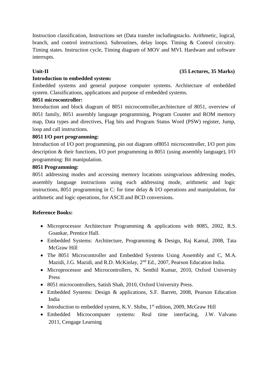Instruction classification, Instructions set (Data transfer includingstacks. Arithmetic, logical, branch, and control instructions). Subroutines, delay loops. Timing & Control circuitry. Timing states. Instruction cycle, Timing diagram of MOV and MVI. Hardware and software interrupts.

### **Unit-II (35 Lectures, 35 Marks)**

### **Introduction to embedded system:**

Embedded systems and general purpose computer systems. Architecture of embedded system. Classifications, applications and purpose of embedded systems.

### **8051 microcontroller:**

Introduction and block diagram of 8051 microcontroller,architecture of 8051, overview of 8051 family, 8051 assembly language programming, Program Counter and ROM memory map, Data types and directives, Flag bits and Program Status Word (PSW) register, Jump, loop and call instructions.

### **8051 I/O port programming:**

Introduction of I/O port programming, pin out diagram of8051 microcontroller, I/O port pins description & their functions, I/O port programming in 8051 (using assembly language), I/O programming: Bit manipulation.

### **8051 Programming:**

8051 addressing modes and accessing memory locations usingvarious addressing modes, assembly language instructions using each addressing mode, arithmetic and logic instructions, 8051 programming in C: for time delay & I/O operations and manipulation, for arithmetic and logic operations, for ASCII and BCD conversions.

### **Reference Books:**

- Microprocessor Architecture Programming & applications with 8085, 2002, R.S. Goankar, Prentice Hall.
- Embedded Systems: Architecture, Programming & Design, Raj Kamal, 2008, Tata McGraw Hill
- The 8051 Microcontroller and Embedded Systems Using Assembly and C, M.A. Mazidi, J.G. Mazidi, and R.D. McKinlay, 2nd Ed., 2007, Pearson Education India.
- Microprocessor and Microcontrollers, N. Senthil Kumar, 2010, Oxford University Press
- 8051 microcontrollers, Satish Shah, 2010, Oxford University Press.
- Embedded Systems: Design & applications, S.F. Barrett, 2008, Pearson Education India
- Introduction to embedded system, K.V. Shibu,  $1<sup>st</sup>$  edition, 2009, McGraw Hill
- Embedded Microcomputer systems: Real time interfacing, J.W. Valvano 2011, Cengage Learning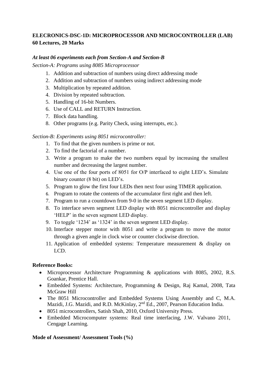### **ELECRONICS-DSC-1D: MICROPROCESSOR AND MICROCONTROLLER (LAB) 60 Lectures, 20 Marks**

### *At least 06 experiments each from Section-A and Section-B*

*Section-A: Programs using 8085 Microprocessor*

- 1. Addition and subtraction of numbers using direct addressing mode
- 2. Addition and subtraction of numbers using indirect addressing mode
- 3. Multiplication by repeated addition.
- 4. Division by repeated subtraction.
- 5. Handling of 16-bit Numbers.
- 6. Use of CALL and RETURN Instruction.
- 7. Block data handling.
- 8. Other programs (e.g. Parity Check, using interrupts, etc.).

### *Section-B: Experiments using 8051 microcontroller:*

- 1. To find that the given numbers is prime or not.
- 2. To find the factorial of a number.
- 3. Write a program to make the two numbers equal by increasing the smallest number and decreasing the largest number.
- 4. Use one of the four ports of 8051 for O/P interfaced to eight LED's. Simulate binary counter (8 bit) on LED's.
- 5. Program to glow the first four LEDs then next four using TIMER application.
- 6. Program to rotate the contents of the accumulator first right and then left.
- 7. Program to run a countdown from 9-0 in the seven segment LED display.
- 8. To interface seven segment LED display with 8051 microcontroller and display 'HELP' in the seven segment LED display.
- 9. To toggle '1234' as '1324' in the seven segment LED display.
- 10. Interface stepper motor with 8051 and write a program to move the motor through a given angle in clock wise or counter clockwise direction.
- 11. Application of embedded systems: Temperature measurement & display on LCD.

### **Reference Books:**

- Microprocessor Architecture Programming & applications with 8085, 2002, R.S. Goankar, Prentice Hall.
- Embedded Systems: Architecture, Programming & Design, Raj Kamal, 2008, Tata McGraw Hill
- The 8051 Microcontroller and Embedded Systems Using Assembly and C, M.A. Mazidi, J.G. Mazidi, and R.D. McKinlay, 2<sup>nd</sup> Ed., 2007, Pearson Education India.
- 8051 microcontrollers, Satish Shah, 2010, Oxford University Press.
- Embedded Microcomputer systems: Real time interfacing, J.W. Valvano 2011, Cengage Learning.

### **Mode of Assessment/ Assessment Tools (%)**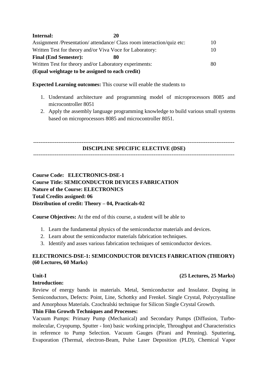| Internal:                                                | 20                                                                     |     |
|----------------------------------------------------------|------------------------------------------------------------------------|-----|
|                                                          | Assignment /Presentation/ attendance/ Class room interaction/quiz etc: | 10. |
| Written Test for theory and/or Viva Voce for Laboratory: |                                                                        |     |
| <b>Final (End Semester):</b>                             | 80                                                                     |     |
| Written Test for theory and/or Laboratory experiments:   |                                                                        | 80  |
| (Equal weightage to be assigned to each credit)          |                                                                        |     |

### **Expected Learning outcomes:** This course will enable the students to

- 1. Understand architecture and programming model of microprocessors 8085 and microcontroller 8051
- 2. Apply the assembly language programming knowledge to build various small systems based on microprocessors 8085 and microcontroller 8051.

---------------------------------------------------------------------------------------------------------------- **DISCIPLINE SPECIFIC ELECTIVE (DSE)**

----------------------------------------------------------------------------------------------------------------

## **Course Code: ELECTRONICS-DSE-1 Course Title: SEMICONDUCTOR DEVICES FABRICATION Nature of the Course: ELECTRONICS Total Credits assigned: 06 Distribution of credit: Theory – 04, Practicals-02**

**Course Objectives:** At the end of this course, a student will be able to

- 1. Learn the fundamental physics of the semiconductor materials and devices.
- 2. Learn about the semiconductor materials fabrication techniques.
- 3. Identify and asses various fabrication techniques of semiconductor devices.

### **ELECTRONICS-DSE-1: SEMICONDUCTOR DEVICES FABRICATION (THEORY) (60 Lectures, 60 Marks)**

### **Unit-I (25 Lectures, 25 Marks)**

### **Introduction:**

Review of energy bands in materials. Metal, Semiconductor and Insulator. Doping in Semiconductors, Defects: Point, Line, Schottky and Frenkel. Single Crystal, Polycrystalline and Amorphous Materials. Czochralski technique for Silicon Single Crystal Growth.

### **Thin Film Growth Techniques and Processes:**

Vacuum Pumps: Primary Pump (Mechanical) and Secondary Pumps (Diffusion, Turbomolecular, Cryopump, Sputter - Ion) basic working principle, Throughput and Characteristics in reference to Pump Selection. Vacuum Gauges (Pirani and Penning). Sputtering, Evaporation (Thermal, electron-Beam, Pulse Laser Deposition (PLD), Chemical Vapor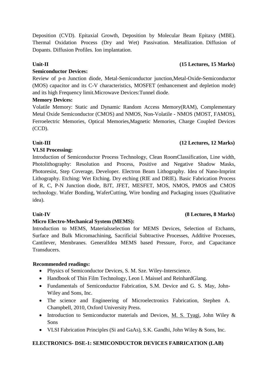Deposition (CVD). Epitaxial Growth, Deposition by Molecular Beam Epitaxy (MBE). Thermal Oxidation Process (Dry and Wet) Passivation. Metallization. Diffusion of Dopants. Diffusion Profiles. Ion implantation.

### **Semiconductor Devices:**

Review of p-n Junction diode, Metal-Semiconductor junction,Metal-Oxide-Semiconductor (MOS) capacitor and its C-V characteristics, MOSFET (enhancement and depletion mode) and its high Frequency limit.Microwave Devices:Tunnel diode.

### **Memory Devices:**

Volatile Memory: Static and Dynamic Random Access Memory(RAM), Complementary Metal Oxide Semiconductor (CMOS) and NMOS, Non-Volatile - NMOS (MOST, FAMOS), Ferroelectric Memories, Optical Memories, Magnetic Memories, Charge Coupled Devices (CCD).

### **Unit-III (12 Lectures, 12 Marks)**

### **VLSI Processing:**

Introduction of Semiconductor Process Technology, Clean RoomClassification, Line width, Photolithography: Resolution and Process, Positive and Negative Shadow Masks, Photoresist, Step Coverage, Developer. Electron Beam Lithography. Idea of Nano-Imprint Lithography. Etching: Wet Etching. Dry etching (RIE and DRIE). Basic Fabrication Process of R, C, P-N Junction diode, BJT, JFET, MESFET, MOS, NMOS, PMOS and CMOS technology. Wafer Bonding, WaferCutting, Wire bonding and Packaging issues (Qualitative idea).

### **Micro Electro-Mechanical System (MEMS):**

Introduction to MEMS, Materialsselection for MEMS Devices, Selection of Etchants, Surface and Bulk Micromachining, Sacrificial Subtractive Processes, Additive Processes, Cantilever, Membranes. GeneralIdea MEMS based Pressure, Force, and Capacitance Transducers.

### **Recommended readings:**

- Physics of Semiconductor Devices, S. M. Sze. Wiley-Interscience.
- Handbook of Thin Film Technology, Leon I. Maissel and ReinhardGlang.
- Fundamentals of Semiconductor Fabrication, S.M. Device and G. S. May, John-Wiley and Sons, Inc.
- The science and Engineering of Microelectronics Fabrication, Stephen A. Champbell, 2010, Oxford University Press.
- Introduction to Semiconductor materials and Devices, M. S. Tyagi, John Wiley & Sons
- VLSI Fabrication Principles (Si and GaAs), S.K. Gandhi, John Wiley & Sons, Inc.

### **ELECTRONICS- DSE-1: SEMICONDUCTOR DEVICES FABRICATION (LAB)**

## **Unit-IV (8 Lectures, 8 Marks)**

### **Unit-II (15 Lectures, 15 Marks)**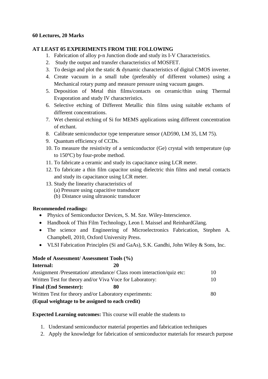### **60 Lectures, 20 Marks**

### **AT LEAST 05 EXPERIMENTS FROM THE FOLLOWING**

- 1. Fabrication of alloy p-n Junction diode and study its I-V Characteristics.
- 2. Study the output and transfer characteristics of MOSFET.
- 3. To design and plot the static & dynamic characteristics of digital CMOS inverter.
- 4. Create vacuum in a small tube (preferably of different volumes) using a Mechanical rotary pump and measure pressure using vacuum gauges.
- 5. Deposition of Metal thin films/contacts on ceramic/thin using Thermal Evaporation and study IV characteristics.
- 6. Selective etching of Different Metallic thin films using suitable etchants of different concentrations.
- 7. Wet chemical etching of Si for MEMS applications using different concentration of etchant.
- 8. Calibrate semiconductor type temperature sensor (AD590, LM 35, LM 75).
- 9. Quantum efficiency of CCDs.
- 10. To measure the resistivity of a semiconductor (Ge) crystal with temperature (up to  $150^{\circ}$ C) by four-probe method.
- 11. To fabricate a ceramic and study its capacitance using LCR meter.
- 12. To fabricate a thin film capacitor using dielectric thin films and metal contacts and study its capacitance using LCR meter.
- 13. Study the linearity characteristics of
	- (a) Pressure using capacitive transducer
	- (b) Distance using ultrasonic transducer

### **Recommended readings:**

- Physics of Semiconductor Devices, S. M. Sze. Wiley-Interscience.
- Handbook of Thin Film Technology, Leon I. Maissel and ReinhardGlang.
- The science and Engineering of Microelectronics Fabrication, Stephen A. Champbell, 2010, Oxford University Press.
- VLSI Fabrication Principles (Si and GaAs), S.K. Gandhi, John Wiley & Sons, Inc.

## **Mode of Assessment/ Assessment Tools (%)**

| Internal:                                                | 20                                                                     |    |
|----------------------------------------------------------|------------------------------------------------------------------------|----|
|                                                          | Assignment /Presentation/ attendance/ Class room interaction/quiz etc: | 10 |
| Written Test for theory and/or Viva Voce for Laboratory: |                                                                        | 10 |
| <b>Final (End Semester):</b>                             | 80                                                                     |    |
| Written Test for theory and/or Laboratory experiments:   |                                                                        | 80 |
| (Equal weightage to be assigned to each credit)          |                                                                        |    |

## **Expected Learning outcomes:** This course will enable the students to

- 1. Understand semiconductor material properties and fabrication techniques
- 2. Apply the knowledge for fabrication of semiconductor materials for research purpose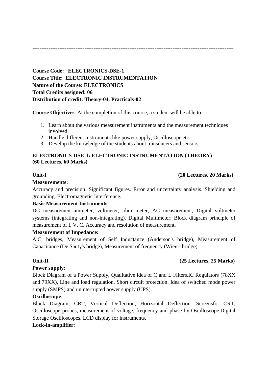----------------------------------------------------------------------------------------------------------------

**Course Code: ELECTRONICS-DSE-1 Course Title: ELECTRONIC INSTRUMENTATION Nature of the Course: ELECTRONICS Total Credits assigned: 06 Distribution of credit: Theory-04, Practicals-02**

**Course Objectives**: At the completion of this course, a student will be able to

- 1. Learn about the various measurement instruments and the measurement techniques involved.
- 2. Handle different instruments like power supply, Oscilloscope etc.
- 3. Develop the knowledge of the students about transducers and sensors.

### **ELECTRONICS-DSE-1: ELECTRONIC INSTRUMENTATION (THEORY) (60 Lectures, 60 Marks)**

### **Unit-I (20 Lectures, 20 Marks)**

### **Measurements:**

Accuracy and precision. Significant figures. Error and uncertainty analysis. Shielding and grounding. Electromagnetic Interference.

### **Basic Measurement Instruments**:

DC measurement-ammeter, voltmeter, ohm meter, AC measurement, Digital voltmeter systems (integrating and non-integrating). Digital Multimeter; Block diagram principle of measurement of I, V, C. Accuracy and resolution of measurement.

### **Measurement of Impedance:**

A.C. bridges, Measurement of Self Inductance (Anderson's bridge), Measurement of Capacitance (De Sauty's bridge), Measurement of frequency (Wien's bridge).

### **Unit-II (25 Lectures, 25 Marks)**

### **Power supply:**

Block Diagram of a Power Supply, Qualitative idea of C and L Filters.IC Regulators (78XX and 79XX), Line and load regulation, Short circuit protection. Idea of switched mode power supply (SMPS) and uninterrupted power supply (UPS).

### **Oscilloscope**:

Block Diagram, CRT, Vertical Deflection, Horizontal Deflection. Screensfor CRT, Oscilloscope probes, measurement of voltage, frequency and phase by Oscilloscope.Digital Storage Oscilloscopes. LCD display for instruments.

### **Lock-in-amplifier**: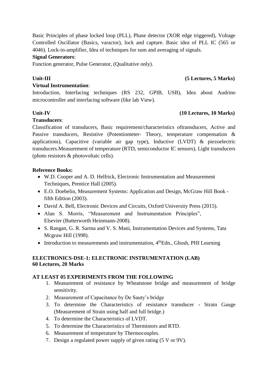Basic Principles of phase locked loop (PLL), Phase detector (XOR edge triggered), Voltage Controlled Oscillator (Basics, varactor), lock and capture. Basic idea of PLL IC (565 or 4046). Lock-in-amplifier, Idea of techniques for sum and averaging of signals.

### **Signal Generators**:

Function generator, Pulse Generator, (Qualitative only).

## **Unit-III (5 Lectures, 5 Marks)**

### **Virtual Instrumentation**:

Introduction, Interfacing techniques (RS 232, GPIB, USB), Idea about Audrino microcontroller and interfacing software (like lab View).

### **Unit-IV (10 Lectures, 10 Marks)**

### **Transducers**:

Classification of transducers, Basic requirement/characteristics oftransducers, Active and Passive transducers, Resistive (Potentiometer- Theory, temperature compensation & applications), Capacitive (variable air gap type), Inductive (LVDT) & piezoelectric transducers.Measurement of temperature (RTD, semiconductor IC sensors), Light transducers (photo resistors & photovoltaic cells).

### **Reference Books:**

- W.D. Cooper and A. D. Helfrick, Electronic Instrumentation and Measurement Techniques, Prentice Hall (2005).
- E.O. Doebelin, Measurement Systems: Application and Design, McGraw Hill Book fifth Edition (2003).
- David A. Bell, Electronic Devices and Circuits, Oxford University Press (2015).
- Alan S. Morris, "Measurement and Instrumentation Principles", Elsevier (Butterworth Heinmann-2008).
- S. Rangan, G. R. Sarma and V. S. Mani, Instrumentation Devices and Systems, Tata Mcgraw Hill (1998).
- Introduction to measurements and instrumentation,  $4<sup>th</sup>Edn$ , Ghosh, PHI Learning

### **ELECTRONICS-DSE-1: ELECTRONIC INSTRUMENTATION (LAB) 60 Lectures, 20 Marks**

### **AT LEAST 05 EXPERIMENTS FROM THE FOLLOWING**

- 1. Measurement of resistance by Wheatstone bridge and measurement of bridge sensitivity.
- 2. Measurement of Capacitance by De Sauty's bridge
- 3. To determine the Characteristics of resistance transducer Strain Gauge (Measurement of Strain using half and full bridge.)
- 4. To determine the Characteristics of LVDT.
- 5. To determine the Characteristics of Thermistors and RTD.
- 6. Measurement of temperature by Thermocouples.
- 7. Design a regulated power supply of given rating (5 V or 9V).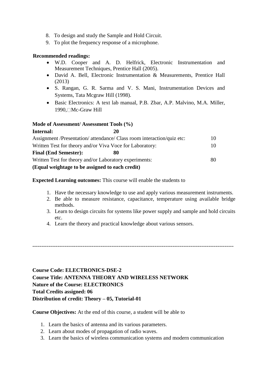- 8. To design and study the Sample and Hold Circuit.
- 9. To plot the frequency response of a microphone.

### **Recommended readings:**

- W.D. Cooper and A. D. Helfrick, Electronic Instrumentation and Measurement Techniques, Prentice Hall (2005).
- David A. Bell, Electronic Instrumentation & Measurements, Prentice Hall (2013)
- S. Rangan, G. R. Sarma and V. S. Mani, Instrumentation Devices and Systems, Tata Mcgraw Hill (1998).
- Basic Electronics: A text lab manual, P.B. Zbar, A.P. Malvino, M.A. Miller,  $1990$ ,  $\Box$ Mc-Graw Hill

### **Mode of Assessment/ Assessment Tools (%)**

| Internal:                                                | 20                                                                     |     |
|----------------------------------------------------------|------------------------------------------------------------------------|-----|
|                                                          | Assignment /Presentation/ attendance/ Class room interaction/quiz etc: | 10  |
| Written Test for theory and/or Viva Voce for Laboratory: |                                                                        | 10. |
| <b>Final (End Semester):</b>                             | 80                                                                     |     |
| Written Test for theory and/or Laboratory experiments:   |                                                                        | 80  |
| (Equal weightage to be assigned to each credit)          |                                                                        |     |

**Expected Learning outcomes:** This course will enable the students to

- 1. Have the necessary knowledge to use and apply various measurement instruments.
- 2. Be able to measure resistance, capacitance, temperature using available bridge methods.
- 3. Learn to design circuits for systems like power supply and sample and hold circuits etc.
- 4. Learn the theory and practical knowledge about various sensors.

----------------------------------------------------------------------------------------------------------------

**Course Code: ELECTRONICS-DSE-2 Course Title: ANTENNA THEORY AND WIRELESS NETWORK Nature of the Course: ELECTRONICS Total Credits assigned: 06 Distribution of credit: Theory – 05, Tutorial-01**

**Course Objectives:** At the end of this course, a student will be able to

- 1. Learn the basics of antenna and its various parameters.
- 2. Learn about modes of propagation of radio waves.
- 3. Learn the basics of wireless communication systems and modern communication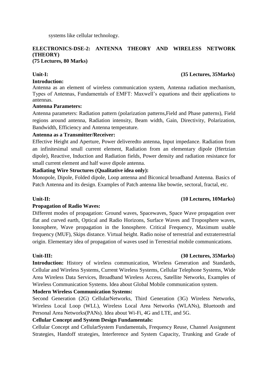systems like cellular technology.

### **ELECTRONICS-DSE-2: ANTENNA THEORY AND WIRELESS NETWORK (THEORY) (75 Lectures, 80 Marks)**

### **Introduction:**

Antenna as an element of wireless communication system, Antenna radiation mechanism, Types of Antennas, Fundamentals of EMFT: Maxwell's equations and their applications to antennas.

### **Antenna Parameters:**

Antenna parameters: Radiation pattern (polarization patterns,Field and Phase patterns), Field regions around antenna, Radiation intensity, Beam width, Gain, Directivity, Polarization, Bandwidth, Efficiency and Antenna temperature.

### **Antenna as a Transmitter/Receiver:**

Effective Height and Aperture, Power deliveredto antenna, Input impedance. Radiation from an infinitesimal small current element, Radiation from an elementary dipole (Hertzian dipole), Reactive, Induction and Radiation fields, Power density and radiation resistance for small current element and half wave dipole antenna.

### **Radiating Wire Structures (Qualitative idea only):**

Monopole, Dipole, Folded dipole, Loop antenna and Biconical broadband Antenna. Basics of Patch Antenna and its design. Examples of Patch antenna like bowtie, sectoral, fractal, etc.

### **Unit-II: (10 Lectures, 10Marks)**

### **Propagation of Radio Waves:**

Different modes of propagation: Ground waves, Spacewaves, Space Wave propagation over flat and curved earth, Optical and Radio Horizons, Surface Waves and Troposphere waves, Ionosphere, Wave propagation in the Ionosphere. Critical Frequency, Maximum usable frequency (MUF), Skips distance. Virtual height. Radio noise of terrestrial and extraterrestrial origin. Elementary idea of propagation of waves used in Terrestrial mobile communications.

### **Unit-III: (30 Lectures, 35Marks)**

**Introduction:** History of wireless communication, Wireless Generation and Standards, Cellular and Wireless Systems, Current Wireless Systems, Cellular Telephone Systems, Wide Area Wireless Data Services, Broadband Wireless Access, Satellite Networks, Examples of Wireless Communication Systems. Idea about Global Mobile communication system.

### **Modern Wireless Communication Systems:**

Second Generation (2G) CellularNetworks, Third Generation (3G) Wireless Networks, Wireless Local Loop (WLL), Wireless Local Area Networks (WLANs), Bluetooth and Personal Area Networks(PANs). Idea about Wi-Fi, 4G and LTE, and 5G.

### **Cellular Concept and System Design Fundamentals:**

Cellular Concept and CellularSystem Fundamentals, Frequency Reuse, Channel Assignment Strategies, Handoff strategies, Interference and System Capacity, Trunking and Grade of

### **Unit-I: (35 Lectures, 35Marks)**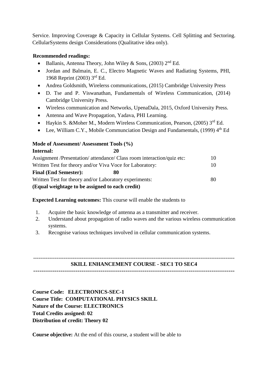Service. Improving Coverage & Capacity in Cellular Systems. Cell Splitting and Sectoring. CellularSystems design Considerations (Qualitative idea only).

### **Recommended readings:**

- Ballanis, Antenna Theory, John Wiley & Sons, (2003)  $2<sup>nd</sup> Ed$ .
- Jordan and Balmain, E. C., Electro Magnetic Waves and Radiating Systems, PHI, 1968 Reprint (2003) 3rd Ed.
- Andrea Goldsmith, Wirelerss communications, (2015) Cambridge University Press
- D. Tse and P. Viswanathan, Fundamentals of Wireless Communication, (2014) Cambridge University Press.
- Wireless communication and Networks, UpenaDala, 2015, Oxford University Press.
- Antenna and Wave Propagation, Yadava, PHI Learning.
- Haykin S. & Moher M., Modern Wireless Communication, Pearson,  $(2005)$  3<sup>rd</sup> Ed.
- Lee, William C.Y., Mobile Communciation Design and Fundamentals. (1999)  $4<sup>th</sup>$  Ed

### **Mode of Assessment/ Assessment Tools (%)**

| Internal:                                                | 20                                                                     |    |
|----------------------------------------------------------|------------------------------------------------------------------------|----|
|                                                          | Assignment /Presentation/ attendance/ Class room interaction/quiz etc: | 10 |
| Written Test for theory and/or Viva Voce for Laboratory: |                                                                        | 10 |
| <b>Final (End Semester):</b>                             | 80                                                                     |    |
| Written Test for theory and/or Laboratory experiments:   |                                                                        | 80 |
| (Equal weightage to be assigned to each credit)          |                                                                        |    |

**Expected Learning outcomes:** This course will enable the students to

- 1. Acquire the basic knowledge of antenna as a transmitter and receiver.
- 2. Understand about propagation of radio waves and the various wireless communication systems.
- 3. Recognise various techniques involved in cellular communication systems.

### ---------------------------------------------------------------------------------------------------------------- **SKILL ENHANCEMENT COURSE - SEC1 TO SEC4**

 $-$ 

**Course Code: ELECTRONICS-SEC-1 Course Title: COMPUTATIONAL PHYSICS SKILL Nature of the Course: ELECTRONICS Total Credits assigned: 02 Distribution of credit: Theory 02**

**Course objective:** At the end of this course, a student will be able to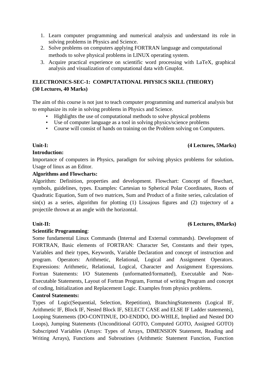- 1. Learn computer programming and numerical analysis and understand its role in solving problems in Physics and Science.
- 2. Solve problems on computers applying FORTRAN language and computational methods to solve physical problems in LINUX operating system.
- 3. Acquire practical experience on scientific word processing with LaTeX, graphical analysis and visualization of computational data with Gnuplot.

### **ELECTRONICS-SEC-1: COMPUTATIONAL PHYSICS SKILL (THEORY) (30 Lectures, 40 Marks)**

The aim of this course is not just to teach computer programming and numerical analysis but to emphasize its role in solving problems in Physics and Science.

- Highlights the use of computational methods to solve physical problems
- Use of computer language as a tool in solving physics/science problems
- Course will consist of hands on training on the Problem solving on Computers.

### **Unit-I: (4 Lectures, 5Marks)**

### **Introduction:**

Importance of computers in Physics, paradigm for solving physics problems for solution**.** Usage of linux as an Editor.

### **Algorithms and Flowcharts:**

Algorithm: Definition, properties and development. Flowchart: Concept of flowchart, symbols, guidelines, types. Examples: Cartesian to Spherical Polar Coordinates, Roots of Quadratic Equation, Sum of two matrices, Sum and Product of a finite series, calculation of  $sin(x)$  as a series, algorithm for plotting (1) Lissajous figures and (2) trajectory of a projectile thrown at an angle with the horizontal.

### **Scientific Programming**:

Some fundamental Linux Commands (Internal and External commands). Development of FORTRAN, Basic elements of FORTRAN: Character Set, Constants and their types, Variables and their types, Keywords, Variable Declaration and concept of instruction and program. Operators: Arithmetic, Relational, Logical and Assignment Operators. Expressions: Arithmetic, Relational, Logical, Character and Assignment Expressions. Fortran Statements: I/O Statements (unformatted/formatted), Executable and Non-Executable Statements, Layout of Fortran Program, Format of writing Program and concept of coding, Initialization and Replacement Logic. Examples from physics problems.

### **Control Statements:**

Types of Logic(Sequential, Selection, Repetition), BranchingStatements (Logical IF, Arithmetic IF, Block IF, Nested Block IF, SELECT CASE and ELSE IF Ladder statements), Looping Statements (DO-CONTINUE, DO-ENDDO, DO-WHILE, Implied and Nested DO Loops), Jumping Statements (Unconditional GOTO, Computed GOTO, Assigned GOTO) Subscripted Variables (Arrays: Types of Arrays, DIMENSION Statement, Reading and Writing Arrays), Functions and Subroutines (Arithmetic Statement Function, Function

### **Unit-II: (6 Lectures, 8Marks)**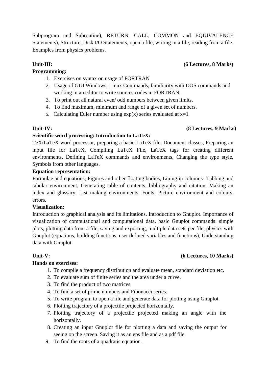Subprogram and Subroutine), RETURN, CALL, COMMON and EQUIVALENCE Statements), Structure, Disk I/O Statements, open a file, writing in a file, reading from a file. Examples from physics problems.

### **Programming:**

- 1. Exercises on syntax on usage of FORTRAN
- 2. Usage of GUI Windows, Linux Commands, familiarity with DOS commands and working in an editor to write sources codes in FORTRAN.
- 3. To print out all natural even/ odd numbers between given limits.
- 4. To find maximum, minimum and range of a given set of numbers.
- 5. Calculating Euler number using  $exp(x)$  series evaluated at  $x=1$

### **Unit-IV: (8 Lectures, 9 Marks)**

### **Scientific word processing: Introduction to LaTeX:**

TeX/LaTeX word processor, preparing a basic LaTeX file, Document classes, Preparing an input file for LaTeX, Compiling LaTeX File, LaTeX tags for creating different environments, Defining LaTeX commands and environments, Changing the type style, Symbols from other languages.

### **Equation representation:**

Formulae and equations, Figures and other floating bodies, Lining in columns- Tabbing and tabular environment, Generating table of contents, bibliography and citation, Making an index and glossary, List making environments, Fonts, Picture environment and colours, errors.

### **Visualization:**

Introduction to graphical analysis and its limitations. Introduction to Gnuplot. Importance of visualization of computational and computational data, basic Gnuplot commands: simple plots, plotting data from a file, saving and exporting, multiple data sets per file, physics with Gnuplot (equations, building functions, user defined variables and functions), Understanding data with Gnuplot

### **Unit-V: (6 Lectures, 10 Marks)**

### **Hands on exercises:**

- 1. To compile a frequency distribution and evaluate mean, standard deviation etc.
- 2. To evaluate sum of finite series and the area under a curve.
- 3. To find the product of two matrices
- 4. To find a set of prime numbers and Fibonacci series.
- 5. To write program to open a file and generate data for plotting using Gnuplot.
- 6. Plotting trajectory of a projectile projected horizontally.
- 7. Plotting trajectory of a projectile projected making an angle with the horizontally.
- 8. Creating an input Gnuplot file for plotting a data and saving the output for seeing on the screen. Saving it as an eps file and as a pdf file.
- 9. To find the roots of a quadratic equation.

### Unit-III: (6 Lectures, 8 Marks)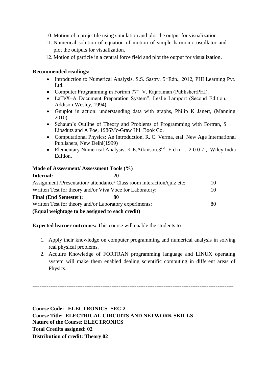- 10. Motion of a projectile using simulation and plot the output for visualization.
- 11. Numerical solution of equation of motion of simple harmonic oscillator and plot the outputs for visualization.
- 12. Motion of particle in a central force field and plot the output for visualization.

### **Recommended readings:**

- Introduction to Numerical Analysis, S.S. Sastry,  $5<sup>th</sup>Edn$ , 2012, PHI Learning Pvt. Ltd.
- Computer Programming in Fortran 77". V. Rajaraman (Publisher:PHI).
- LaTeX–A Document Preparation System", Leslie Lamport (Second Edition, Addison-Wesley, 1994).
- Gnuplot in action: understanding data with graphs, Philip K Janert, (Manning 2010)
- Schaum's Outline of Theory and Problems of Programming with Fortran, S Lipsdutz and A Poe, 1986Mc-Graw Hill Book Co.
- Computational Physics: An Introduction, R. C. Verma, etal. New Age International Publishers, New Delhi(1999)
- Elementary Numerical Analysis, K.E.Atkinson,  $3^{rd}$  E d n ., 2007, Wiley India Edition.

### **Mode of Assessment/ Assessment Tools (%)**

| Internal:                                                              | 20 |    |
|------------------------------------------------------------------------|----|----|
| Assignment /Presentation/ attendance/ Class room interaction/quiz etc: |    | 10 |
| Written Test for theory and/or Viva Voce for Laboratory:               |    | 10 |
| <b>Final (End Semester):</b>                                           | 80 |    |
| Written Test for theory and/or Laboratory experiments:                 |    | 80 |
| (Equal weightage to be assigned to each credit)                        |    |    |

**Expected learner outcomes:** This course will enable the students to

- 1. Apply their knowledge on computer programming and numerical analysis in solving real physical problems.
- 2. Acquire Knowledge of FORTRAN programming language and LINUX operating system will make them enabled dealing scientific computing in different areas of Physics.

----------------------------------------------------------------------------------------------------------------

**Course Code: ELECTRONICS- SEC-2 Course Title: ELECTRICAL CIRCUITS AND NETWORK SKILLS Nature of the Course: ELECTRONICS Total Credits assigned: 02 Distribution of credit: Theory 02**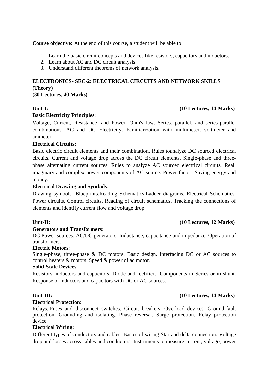### **Course objective:** At the end of this course, a student will be able to

- 1. Learn the basic circuit concepts and devices like resistors, capacitors and inductors.
- 2. Learn about AC and DC circuit analysis.
- 3. Understand different theorems of network analysis.

## **ELECTRONICS- SEC-2: ELECTRICAL CIRCUITS AND NETWORK SKILLS (Theory)**

**(30 Lectures, 40 Marks)**

### **Basic Electricity Principles**:

Voltage, Current, Resistance, and Power. Ohm's law. Series, parallel, and series-parallel combinations. AC and DC Electricity. Familiarization with multimeter, voltmeter and ammeter.

### **Electrical Circuits**:

Basic electric circuit elements and their combination. Rules toanalyze DC sourced electrical circuits. Current and voltage drop across the DC circuit elements. Single-phase and threephase alternating current sources. Rules to analyze AC sourced electrical circuits. Real, imaginary and complex power components of AC source. Power factor. Saving energy and money.

### **Electrical Drawing and Symbols**:

Drawing symbols. Blueprints.Reading Schematics.Ladder diagrams. Electrical Schematics. Power circuits. Control circuits. Reading of circuit schematics. Tracking the connections of elements and identify current flow and voltage drop.

### **Unit-II: (10 Lectures, 12 Marks)**

### **Generators and Transformers**:

DC Power sources. AC/DC generators. Inductance, capacitance and impedance. Operation of transformers.

### **Electric Motors**:

Single-phase, three-phase & DC motors. Basic design. Interfacing DC or AC sources to control heaters & motors. Speed & power of ac motor.

### **Solid-State Devices**:

Resistors, inductors and capacitors. Diode and rectifiers. Components in Series or in shunt. Response of inductors and capacitors with DC or AC sources.

### **Electrical Protection**:

Relays. Fuses and disconnect switches. Circuit breakers. Overload devices. Ground-fault protection. Grounding and isolating. Phase reversal. Surge protection. Relay protection device.

### **Electrical Wiring**:

Different types of conductors and cables. Basics of wiring-Star and delta connection. Voltage drop and losses across cables and conductors. Instruments to measure current, voltage, power

## **Unit-III: (10 Lectures, 14 Marks)**

### **Unit-I: (10 Lectures, 14 Marks)**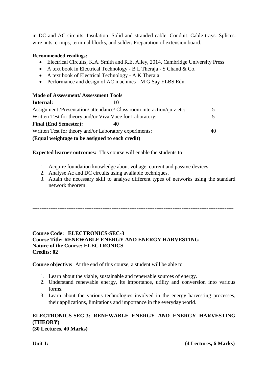in DC and AC circuits. Insulation. Solid and stranded cable. Conduit. Cable trays. Splices: wire nuts, crimps, terminal blocks, and solder. Preparation of extension board.

### **Recommended readings:**

- Electrical Circuits, K.A. Smith and R.E. Alley, 2014, Cambridge University Press
- A text book in Electrical Technology B L Theraja S Chand & Co.
- A text book of Electrical Technology A K Theraja
- Performance and design of AC machines M G Say ELBS Edn.

## **Mode of Assessment/ Assessment Tools**

| Internal:                                                              | 10 |    |
|------------------------------------------------------------------------|----|----|
| Assignment /Presentation/ attendance/ Class room interaction/quiz etc: |    |    |
| Written Test for theory and/or Viva Voce for Laboratory:               |    |    |
| <b>Final (End Semester):</b>                                           | 40 |    |
| Written Test for theory and/or Laboratory experiments:                 |    | 40 |
| (Equal weightage to be assigned to each credit)                        |    |    |

### **Expected learner outcomes:** This course will enable the students to

- 1. Acquire foundation knowledge about voltage, current and passive devices.
- 2. Analyse Ac and DC circuits using available techniques.
- 3. Attain the necessary skill to analyse different types of networks using the standard network theorem.

----------------------------------------------------------------------------------------------------------------

### **Course Code: ELECTRONICS-SEC-3 Course Title: RENEWABLE ENERGY AND ENERGY HARVESTING Nature of the Course: ELECTRONICS Credits: 02**

**Course objective:** At the end of this course, a student will be able to

- 1. Learn about the viable, sustainable and renewable sources of energy.
- 2. Understand renewable energy, its importance, utility and conversion into various forms.
- 3. Learn about the various technologies involved in the energy harvesting processes, their applications, limitations and importance in the everyday world.

## **ELECTRONICS-SEC-3: RENEWABLE ENERGY AND ENERGY HARVESTING (THEORY)**

**(30 Lectures, 40 Marks)**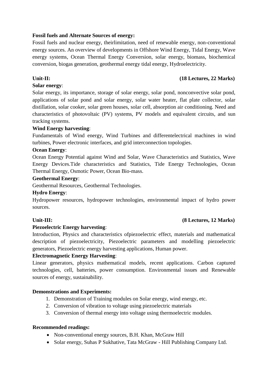### **Fossil fuels and Alternate Sources of energy:**

Fossil fuels and nuclear energy, theirlimitation, need of renewable energy, non-conventional energy sources. An overview of developments in Offshore Wind Energy, Tidal Energy, Wave energy systems, Ocean Thermal Energy Conversion, solar energy, biomass, biochemical conversion, biogas generation, geothermal energy tidal energy, Hydroelectricity.

### **Unit-II: (18 Lectures, 22 Marks)**

### **Solar energy**:

Solar energy, its importance, storage of solar energy, solar pond, nonconvective solar pond, applications of solar pond and solar energy, solar water heater, flat plate collector, solar distillation, solar cooker, solar green houses, solar cell, absorption air conditioning. Need and characteristics of photovoltaic (PV) systems, PV models and equivalent circuits, and sun tracking systems.

### **Wind Energy harvesting**:

Fundamentals of Wind energy, Wind Turbines and differentelectrical machines in wind turbines, Power electronic interfaces, and grid interconnection topologies.

### **Ocean Energy**:

Ocean Energy Potential against Wind and Solar, Wave Characteristics and Statistics, Wave Energy Devices.Tide characteristics and Statistics, Tide Energy Technologies, Ocean Thermal Energy, Osmotic Power, Ocean Bio-mass.

### **Geothermal Energy**:

Geothermal Resources, Geothermal Technologies.

### **Hydro Energy**:

Hydropower resources, hydropower technologies, environmental impact of hydro power sources.

### **Piezoelectric Energy harvesting**:

Introduction, Physics and characteristics ofpiezoelectric effect, materials and mathematical description of piezoelectricity, Piezoelectric parameters and modelling piezoelectric generators, Piezoelectric energy harvesting applications, Human power.

### **Electromagnetic Energy Harvesting**:

Linear generators, physics mathematical models, recent applications. Carbon captured technologies, cell, batteries, power consumption. Environmental issues and Renewable sources of energy, sustainability.

### **Demonstrations and Experiments:**

- 1. Demonstration of Training modules on Solar energy, wind energy, etc.
- 2. Conversion of vibration to voltage using piezoelectric materials
- 3. Conversion of thermal energy into voltage using thermoelectric modules.

### **Recommended readings:**

- Non-conventional energy sources, B.H. Khan, McGraw Hill
- Solar energy, Suhas P Sukhative, Tata McGraw Hill Publishing Company Ltd.

### **Unit-III: (8 Lectures, 12 Marks)**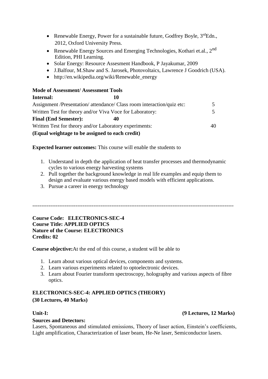- Renewable Energy, Power for a sustainable future, Godfrey Boyle,  $3^{rd}$ Edn., 2012, Oxford University Press.
- Renewable Energy Sources and Emerging Technologies, Kothari et.al.,  $2^{nd}$ Edition, PHI Learning.
- Solar Energy: Resource Assesment Handbook, P Jayakumar, 2009
- J.Balfour, M.Shaw and S. Jarosek, Photovoltaics, Lawrence J Goodrich (USA).
- http://en.wikipedia.org/wiki/Renewable energy

### **Mode of Assessment/ Assessment Tools**

| Internal:                                                              | 10 |    |
|------------------------------------------------------------------------|----|----|
| Assignment /Presentation/ attendance/ Class room interaction/quiz etc: |    |    |
| Written Test for theory and/or Viva Voce for Laboratory:               |    |    |
| <b>Final (End Semester):</b>                                           | 40 |    |
| Written Test for theory and/or Laboratory experiments:                 |    | 40 |
| (Equal weightage to be assigned to each credit)                        |    |    |

**Expected learner outcomes:** This course will enable the students to

- 1. Understand in depth the application of heat transfer processes and thermodynamic cycles to various energy harvesting systems
- 2. Pull together the background knowledge in real life examples and equip them to design and evaluate various energy based models with efficient applications.
- 3. Pursue a career in energy technology

----------------------------------------------------------------------------------------------------------------

**Course Code: ELECTRONICS-SEC-4 Course Title: APPLIED OPTICS Nature of the Course: ELECTRONICS Credits: 02**

**Course objective:**At the end of this course, a student will be able to

- 1. Learn about various optical devices, components and systems.
- 2. Learn various experiments related to optoelectronic devices.
- 3. Learn about Fourier transform spectroscopy, holography and various aspects of fibre optics.

### **ELECTRONICS-SEC-4: APPLIED OPTICS (THEORY) (30 Lectures, 40 Marks)**

### **Sources and Detectors:**

Lasers, Spontaneous and stimulated emissions, Theory of laser action, Einstein's coefficients, Light amplification, Characterization of laser beam, He-Ne laser, Semiconductor lasers.

### **Unit-I: (9 Lectures, 12 Marks)**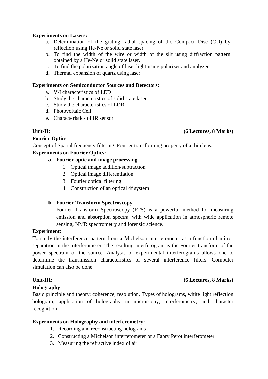### **Experiments on Lasers:**

- a. Determination of the grating radial spacing of the Compact Disc (CD) by reflection using He-Ne or solid state laser.
- b. To find the width of the wire or width of the slit using diffraction pattern obtained by a He-Ne or solid state laser.
- c. To find the polarization angle of laser light using polarizer and analyzer
- d. Thermal expansion of quartz using laser

### **Experiments on Semiconductor Sources and Detectors:**

- a. V-I characteristics of LED
- b. Study the characteristics of solid state laser
- c. Study the characteristics of LDR
- d. Photovoltaic Cell
- e. Characteristics of IR sensor

### **Fourier Optics**

Concept of Spatial frequency filtering, Fourier transforming property of a thin lens.

### **Experiments on Fourier Optics:**

### **a. Fourier optic and image processing**

- 1. Optical image addition/subtraction
- 2. Optical image differentiation
- 3. Fourier optical filtering
- 4. Construction of an optical 4f system

### **b. Fourier Transform Spectroscopy**

Fourier Transform Spectroscopy (FTS) is a powerful method for measuring emission and absorption spectra, with wide application in atmospheric remote sensing, NMR spectrometry and forensic science.

### **Experiment:**

To study the interference pattern from a Michelson interferometer as a function of mirror separation in the interferometer. The resulting interferogram is the Fourier transform of the power spectrum of the source. Analysis of experimental interferograms allows one to determine the transmission characteristics of several interference filters. Computer simulation can also be done.

### **Holography**

Basic principle and theory: coherence, resolution, Types of holograms, white light reflection hologram, application of holography in microscopy, interferometry, and character recognition

### **Experiments on Holography and interferometry:**

- 1. Recording and reconstructing holograms
- 2. Constructing a Michelson interferometer or a Fabry Perot interferometer
- 3. Measuring the refractive index of air

### **Unit-III: (6 Lectures, 8 Marks)**

### Unit-II: (6 Lectures, 8 Marks)